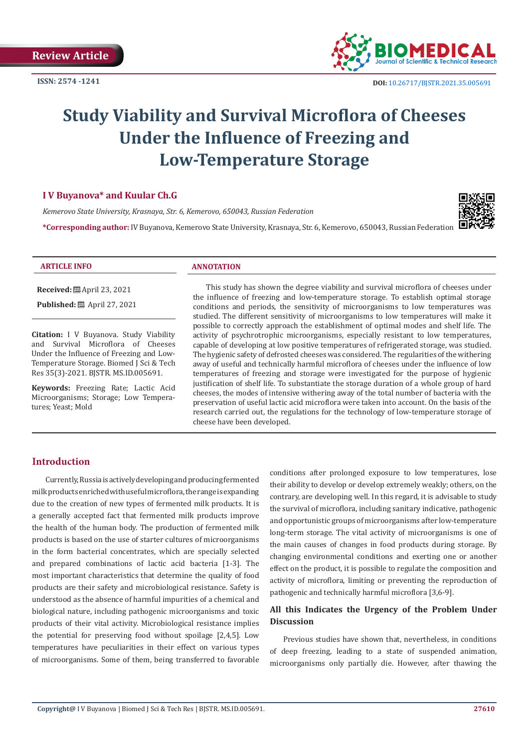

# **Study Viability and Survival Microflora of Cheeses Under the Influence of Freezing and Low-Temperature Storage**

## **I V Buyanova\* and Kuular Ch.G**

*Kemerovo State University, Krasnaya, Str. 6, Kemerovo, 650043, Russian Federation*

**\*Corresponding author:** IV Buyanova, Kemerovo State University, Krasnaya, Str. 6, Kemerovo, 650043, Russian Federation



#### **ARTICLE INFO ANNOTATION**

**Received:** April 23, 2021

**Published:** ■ April 27, 2021

**Citation:** I V Buyanova. Study Viability and Survival Microflora of Cheeses Under the Influence of Freezing and Low-Temperature Storage. Biomed J Sci & Tech Res 35(3)-2021. BJSTR. MS.ID.005691.

**Keywords:** Freezing Rate; Lactic Acid Microorganisms; Storage; Low Temperatures; Yeast; Mold

This study has shown the degree viability and survival microflora of cheeses under the influence of freezing and low-temperature storage. To establish optimal storage conditions and periods, the sensitivity of microorganisms to low temperatures was studied. The different sensitivity of microorganisms to low temperatures will make it possible to correctly approach the establishment of optimal modes and shelf life. The activity of psychrotrophic microorganisms, especially resistant to low temperatures, capable of developing at low positive temperatures of refrigerated storage, was studied. The hygienic safety of defrosted cheeses was considered. The regularities of the withering away of useful and technically harmful microflora of cheeses under the influence of low temperatures of freezing and storage were investigated for the purpose of hygienic justification of shelf life. To substantiate the storage duration of a whole group of hard cheeses, the modes of intensive withering away of the total number of bacteria with the preservation of useful lactic acid microflora were taken into account. On the basis of the research carried out, the regulations for the technology of low-temperature storage of cheese have been developed.

# **Introduction**

Currently, Russia is actively developing and producing fermented milk products enriched with useful microflora, the range is expanding due to the creation of new types of fermented milk products. It is a generally accepted fact that fermented milk products improve the health of the human body. The production of fermented milk products is based on the use of starter cultures of microorganisms in the form bacterial concentrates, which are specially selected and prepared combinations of lactic acid bacteria [1-3]. The most important characteristics that determine the quality of food products are their safety and microbiological resistance. Safety is understood as the absence of harmful impurities of a chemical and biological nature, including pathogenic microorganisms and toxic products of their vital activity. Microbiological resistance implies the potential for preserving food without spoilage [2,4,5]. Low temperatures have peculiarities in their effect on various types of microorganisms. Some of them, being transferred to favorable conditions after prolonged exposure to low temperatures, lose their ability to develop or develop extremely weakly; others, on the contrary, are developing well. In this regard, it is advisable to study the survival of microflora, including sanitary indicative, pathogenic and opportunistic groups of microorganisms after low-temperature long-term storage. The vital activity of microorganisms is one of the main causes of changes in food products during storage. By changing environmental conditions and exerting one or another effect on the product, it is possible to regulate the composition and activity of microflora, limiting or preventing the reproduction of pathogenic and technically harmful microflora [3,6-9].

# **All this Indicates the Urgency of the Problem Under Discussion**

Previous studies have shown that, nevertheless, in conditions of deep freezing, leading to a state of suspended animation, microorganisms only partially die. However, after thawing the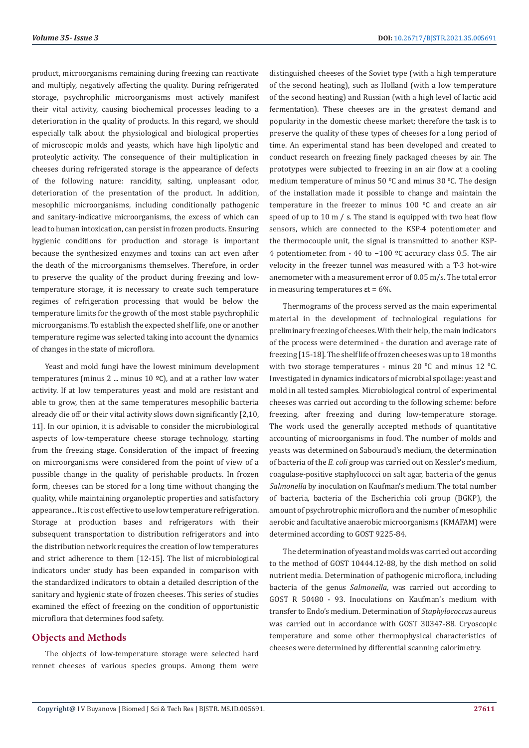product, microorganisms remaining during freezing can reactivate and multiply, negatively affecting the quality. During refrigerated storage, psychrophilic microorganisms most actively manifest their vital activity, causing biochemical processes leading to a deterioration in the quality of products. In this regard, we should especially talk about the physiological and biological properties of microscopic molds and yeasts, which have high lipolytic and proteolytic activity. The consequence of their multiplication in cheeses during refrigerated storage is the appearance of defects of the following nature: rancidity, salting, unpleasant odor, deterioration of the presentation of the product. In addition, mesophilic microorganisms, including conditionally pathogenic and sanitary-indicative microorganisms, the excess of which can lead to human intoxication, can persist in frozen products. Ensuring hygienic conditions for production and storage is important because the synthesized enzymes and toxins can act even after the death of the microorganisms themselves. Therefore, in order to preserve the quality of the product during freezing and lowtemperature storage, it is necessary to create such temperature regimes of refrigeration processing that would be below the temperature limits for the growth of the most stable psychrophilic microorganisms. To establish the expected shelf life, one or another temperature regime was selected taking into account the dynamics of changes in the state of microflora.

Yeast and mold fungi have the lowest minimum development temperatures (minus 2 ... minus 10  $°C$ ), and at a rather low water activity. If at low temperatures yeast and mold are resistant and able to grow, then at the same temperatures mesophilic bacteria already die off or their vital activity slows down significantly [2,10, 11]. In our opinion, it is advisable to consider the microbiological aspects of low-temperature cheese storage technology, starting from the freezing stage. Consideration of the impact of freezing on microorganisms were considered from the point of view of a possible change in the quality of perishable products. In frozen form, cheeses can be stored for a long time without changing the quality, while maintaining organoleptic properties and satisfactory appearance... It is cost effective to use low temperature refrigeration. Storage at production bases and refrigerators with their subsequent transportation to distribution refrigerators and into the distribution network requires the creation of low temperatures and strict adherence to them [12-15]. The list of microbiological indicators under study has been expanded in comparison with the standardized indicators to obtain a detailed description of the sanitary and hygienic state of frozen cheeses. This series of studies examined the effect of freezing on the condition of opportunistic microflora that determines food safety.

#### **Objects and Methods**

The objects of low-temperature storage were selected hard rennet cheeses of various species groups. Among them were distinguished cheeses of the Soviet type (with a high temperature of the second heating), such as Holland (with a low temperature of the second heating) and Russian (with a high level of lactic acid fermentation). These cheeses are in the greatest demand and popularity in the domestic cheese market; therefore the task is to preserve the quality of these types of cheeses for a long period of time. An experimental stand has been developed and created to conduct research on freezing finely packaged cheeses by air. The prototypes were subjected to freezing in an air flow at a cooling medium temperature of minus 50  $\mathrm{^0C}$  and minus 30  $\mathrm{^0C}$ . The design of the installation made it possible to change and maintain the temperature in the freezer to minus  $100\degree$ C and create an air speed of up to 10 m / s. The stand is equipped with two heat flow sensors, which are connected to the KSP-4 potentiometer and the thermocouple unit, the signal is transmitted to another KSP-4 potentiometer. from - 40 to −100 ºС accuracy class 0.5. The air velocity in the freezer tunnel was measured with a T-3 hot-wire anemometer with a measurement error of 0.05 m/s. The total error in measuring temperatures  $\epsilon t = 6\%$ .

Thermograms of the process served as the main experimental material in the development of technological regulations for preliminary freezing of cheeses. With their help, the main indicators of the process were determined - the duration and average rate of freezing [15-18]. The shelf life of frozen cheeses was up to 18 months with two storage temperatures - minus 20  $^{\circ}$ C and minus 12  $^{\circ}$ C. Investigated in dynamics indicators of microbial spoilage: yeast and mold in all tested samples. Microbiological control of experimental cheeses was carried out according to the following scheme: before freezing, after freezing and during low-temperature storage. The work used the generally accepted methods of quantitative accounting of microorganisms in food. The number of molds and yeasts was determined on Sabouraud's medium, the determination of bacteria of the *E. coli* group was carried out on Kessler's medium, coagulase-positive staphylococci on salt agar, bacteria of the genus *Salmonella* by inoculation on Kaufman's medium. The total number of bacteria, bacteria of the Escherichia coli group (BGKP), the amount of psychrotrophic microflora and the number of mesophilic aerobic and facultative anaerobic microorganisms (KMAFAM) were determined according to GOST 9225-84.

The determination of yeast and molds was carried out according to the method of GOST 10444.12-88, by the dish method on solid nutrient media. Determination of pathogenic microflora, including bacteria of the genus *Salmonella*, was carried out according to GOST R 50480 - 93. Inoculations on Kaufman's medium with transfer to Endo's medium. Determination of *Staphylococcus* aureus was carried out in accordance with GOST 30347-88. Cryoscopic temperature and some other thermophysical characteristics of cheeses were determined by differential scanning calorimetry.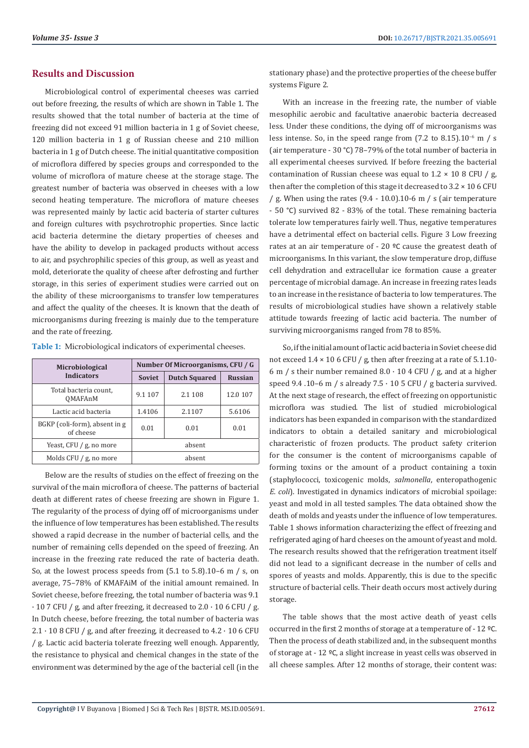# **Results and Discussion**

Microbiological control of experimental cheeses was carried out before freezing, the results of which are shown in Table 1. The results showed that the total number of bacteria at the time of freezing did not exceed 91 million bacteria in 1 g of Soviet cheese, 120 million bacteria in 1 g of Russian cheese and 210 million bacteria in 1 g of Dutch cheese. The initial quantitative composition of microflora differed by species groups and corresponded to the volume of microflora of mature cheese at the storage stage. The greatest number of bacteria was observed in cheeses with a low second heating temperature. The microflora of mature cheeses was represented mainly by lactic acid bacteria of starter cultures and foreign cultures with psychrotrophic properties. Since lactic acid bacteria determine the dietary properties of cheeses and have the ability to develop in packaged products without access to air, and psychrophilic species of this group, as well as yeast and mold, deteriorate the quality of cheese after defrosting and further storage, in this series of experiment studies were carried out on the ability of these microorganisms to transfer low temperatures and affect the quality of the cheeses. It is known that the death of microorganisms during freezing is mainly due to the temperature and the rate of freezing.

|  | Table 1: Microbiological indicators of experimental cheeses. |  |  |  |
|--|--------------------------------------------------------------|--|--|--|
|--|--------------------------------------------------------------|--|--|--|

| <b>Microbiological</b>                     | Number Of Microorganisms, CFU / G |                      |                |  |
|--------------------------------------------|-----------------------------------|----------------------|----------------|--|
| <b>Indicators</b>                          | <b>Soviet</b>                     | <b>Dutch Squared</b> | <b>Russian</b> |  |
| Total bacteria count,<br>OMAFAnM           | 9.1 107                           | 2.1 108              | 12.0 107       |  |
| Lactic acid bacteria                       | 1.4106                            | 2.1107               | 5.6106         |  |
| BGKP (coli-form), absent in g<br>of cheese | 0.01                              | 0.01                 | 0.01           |  |
| Yeast, CFU / g, no more                    | absent                            |                      |                |  |
| Molds CFU $\frac{1}{2}$ no more            |                                   | absent               |                |  |

Below are the results of studies on the effect of freezing on the survival of the main microflora of cheese. The patterns of bacterial death at different rates of cheese freezing are shown in Figure 1. The regularity of the process of dying off of microorganisms under the influence of low temperatures has been established. The results showed a rapid decrease in the number of bacterial cells, and the number of remaining cells depended on the speed of freezing. An increase in the freezing rate reduced the rate of bacteria death. So, at the lowest process speeds from (5.1 to 5.8).10–6 m / s, on average, 75–78% of KMAFAiM of the initial amount remained. In Soviet cheese, before freezing, the total number of bacteria was 9.1  $\cdot$  10 7 CFU / g, and after freezing, it decreased to 2.0  $\cdot$  10 6 CFU / g. In Dutch cheese, before freezing, the total number of bacteria was  $2.1 \cdot 10$  8 CFU / g, and after freezing, it decreased to  $4.2 \cdot 10$  6 CFU / g. Lactic acid bacteria tolerate freezing well enough. Apparently, the resistance to physical and chemical changes in the state of the environment was determined by the age of the bacterial cell (in the

stationary phase) and the protective properties of the cheese buffer systems Figure 2.

With an increase in the freezing rate, the number of viable mesophilic aerobic and facultative anaerobic bacteria decreased less. Under these conditions, the dying off of microorganisms was less intense. So, in the speed range from  $(7.2 \text{ to } 8.15)$ .10<sup>-6</sup> m / s (air temperature - 30 °С) 78–79% of the total number of bacteria in all experimental cheeses survived. If before freezing the bacterial contamination of Russian cheese was equal to  $1.2 \times 10.8$  CFU / g, then after the completion of this stage it decreased to 3.2 × 10 6 CFU / g. When using the rates (9.4 - 10.0).10-6 m / s (air temperature - 50 °С) survived 82 - 83% of the total. These remaining bacteria tolerate low temperatures fairly well. Thus, negative temperatures have a detrimental effect on bacterial cells. Figure 3 Low freezing rates at an air temperature of - 20 ºС cause the greatest death of microorganisms. In this variant, the slow temperature drop, diffuse cell dehydration and extracellular ice formation cause a greater percentage of microbial damage. An increase in freezing rates leads to an increase in the resistance of bacteria to low temperatures. The results of microbiological studies have shown a relatively stable attitude towards freezing of lactic acid bacteria. The number of surviving microorganisms ranged from 78 to 85%.

So, if the initial amount of lactic acid bacteria in Soviet cheese did not exceed  $1.4 \times 10$  6 CFU / g, then after freezing at a rate of  $5.1.10$ -6 m / s their number remained  $8.0 \cdot 10$  4 CFU / g, and at a higher speed 9.4 .10-6 m / s already  $7.5 \cdot 10.5$  CFU / g bacteria survived. At the next stage of research, the effect of freezing on opportunistic microflora was studied. The list of studied microbiological indicators has been expanded in comparison with the standardized indicators to obtain a detailed sanitary and microbiological characteristic of frozen products. The product safety criterion for the consumer is the content of microorganisms capable of forming toxins or the amount of a product containing a toxin (staphylococci, toxicogenic molds, *salmonella*, enteropathogenic *E. coli*). Investigated in dynamics indicators of microbial spoilage: yeast and mold in all tested samples. The data obtained show the death of molds and yeasts under the influence of low temperatures. Table 1 shows information characterizing the effect of freezing and refrigerated aging of hard cheeses on the amount of yeast and mold. The research results showed that the refrigeration treatment itself did not lead to a significant decrease in the number of cells and spores of yeasts and molds. Apparently, this is due to the specific structure of bacterial cells. Their death occurs most actively during storage.

The table shows that the most active death of yeast cells occurred in the first 2 months of storage at a temperature of - 12 ºС. Then the process of death stabilized and, in the subsequent months of storage at - 12 ºС, a slight increase in yeast cells was observed in all cheese samples. After 12 months of storage, their content was: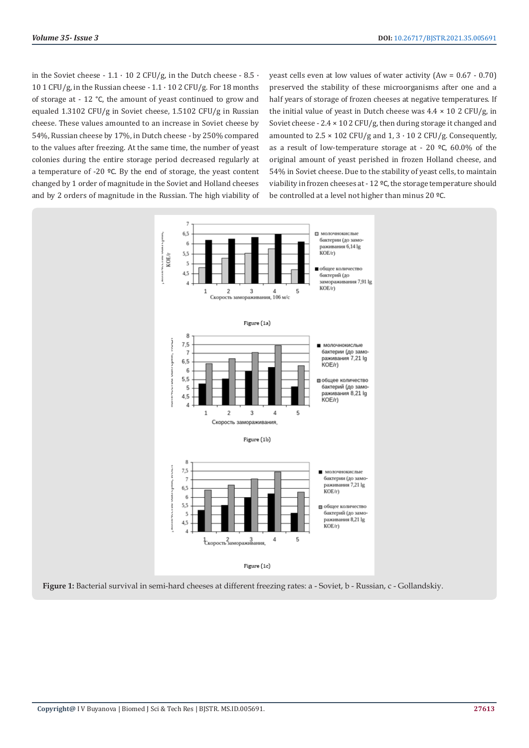in the Soviet cheese -  $1.1 \cdot 10$  2 CFU/g, in the Dutch cheese -  $8.5 \cdot$ 10 1 CFU/g, in the Russian cheese -  $1.1 \cdot 10$  2 CFU/g. For 18 months of storage at - 12 °C, the amount of yeast continued to grow and equaled 1.3102 CFU/g in Soviet cheese, 1.5102 CFU/g in Russian cheese. These values amounted to an increase in Soviet cheese by 54%, Russian cheese by 17%, in Dutch cheese - by 250% compared to the values after freezing. At the same time, the number of yeast colonies during the entire storage period decreased regularly at a temperature of -20 ºС. By the end of storage, the yeast content changed by 1 order of magnitude in the Soviet and Holland cheeses and by 2 orders of magnitude in the Russian. The high viability of yeast cells even at low values of water activity (Aw = 0.67 - 0.70) preserved the stability of these microorganisms after one and a half years of storage of frozen cheeses at negative temperatures. If the initial value of yeast in Dutch cheese was  $4.4 \times 10$  2 CFU/g, in Soviet cheese -  $2.4 \times 10$  2 CFU/g, then during storage it changed and amounted to  $2.5 \times 102$  CFU/g and  $1.3 \cdot 10$  2 CFU/g. Consequently, as a result of low-temperature storage at - 20 ºС, 60.0% of the original amount of yeast perished in frozen Holland cheese, and 54% in Soviet cheese. Due to the stability of yeast cells, to maintain viability in frozen cheeses at - 12 ºС, the storage temperature should be controlled at a level not higher than minus 20 ºС.



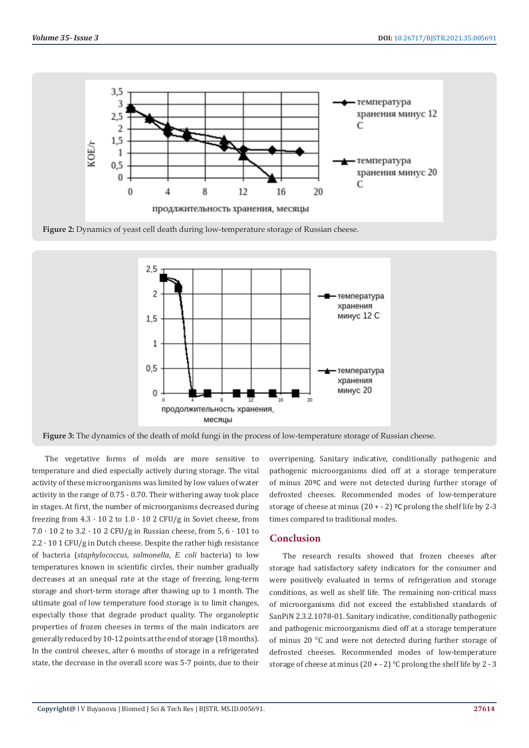





**Figure 3:** The dynamics of the death of mold fungi in the process of low-temperature storage of Russian cheese.

The vegetative forms of molds are more sensitive to temperature and died especially actively during storage. The vital activity of these microorganisms was limited by low values of water activity in the range of 0.75 - 0.70. Their withering away took place in stages. At first, the number of microorganisms decreased during freezing from  $4.3 \cdot 10$  2 to  $1.0 \cdot 10$  2 CFU/g in Soviet cheese, from  $7.0 \cdot 10$  2 to  $3.2 \cdot 10$  2 CFU/g in Russian cheese, from 5, 6  $\cdot$  101 to  $2.2 \cdot 10$  1 CFU/g in Dutch cheese. Despite the rather high resistance of bacteria (*staphylococcus*, *salmonella*, *E. coli* bacteria) to low temperatures known in scientific circles, their number gradually decreases at an unequal rate at the stage of freezing, long-term storage and short-term storage after thawing up to 1 month. The ultimate goal of low temperature food storage is to limit changes, especially those that degrade product quality. The organoleptic properties of frozen cheeses in terms of the main indicators are generally reduced by 10-12 points at the end of storage (18 months). In the control cheeses, after 6 months of storage in a refrigerated state, the decrease in the overall score was 5-7 points, due to their overripening. Sanitary indicative, conditionally pathogenic and pathogenic microorganisms died off at a storage temperature of minus 20ºС and were not detected during further storage of defrosted cheeses. Recommended modes of low-temperature storage of cheese at minus  $(20 + -2)$  °C prolong the shelf life by 2-3 times compared to traditional modes.

### **Conclusion**

The research results showed that frozen cheeses after storage had satisfactory safety indicators for the consumer and were positively evaluated in terms of refrigeration and storage conditions, as well as shelf life. The remaining non-critical mass of microorganisms did not exceed the established standards of SanPiN 2.3.2.1078-01. Sanitary indicative, conditionally pathogenic and pathogenic microorganisms died off at a storage temperature of minus 20  $\mathrm{^0C}$  and were not detected during further storage of defrosted cheeses. Recommended modes of low-temperature storage of cheese at minus  $(20 + -2)$  °C prolong the shelf life by 2 - 3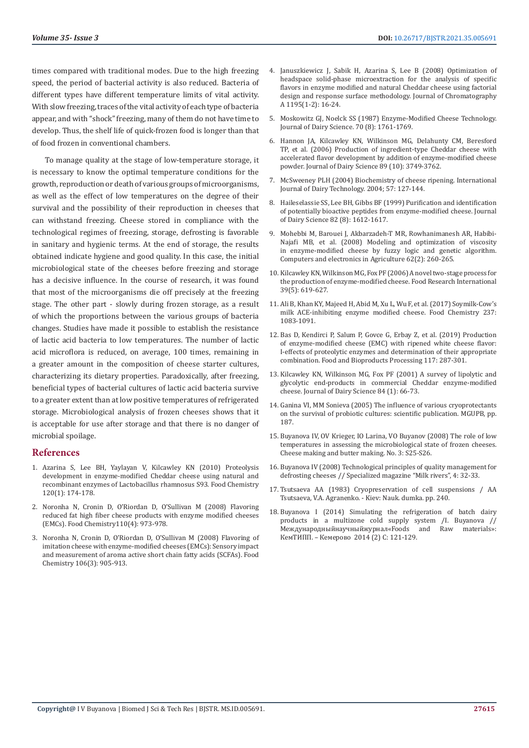times compared with traditional modes. Due to the high freezing speed, the period of bacterial activity is also reduced. Bacteria of different types have different temperature limits of vital activity. With slow freezing, traces of the vital activity of each type of bacteria appear, and with "shock" freezing, many of them do not have time to develop. Thus, the shelf life of quick-frozen food is longer than that of food frozen in conventional chambers.

To manage quality at the stage of low-temperature storage, it is necessary to know the optimal temperature conditions for the growth, reproduction or death of various groups of microorganisms, as well as the effect of low temperatures on the degree of their survival and the possibility of their reproduction in cheeses that can withstand freezing. Cheese stored in compliance with the technological regimes of freezing, storage, defrosting is favorable in sanitary and hygienic terms. At the end of storage, the results obtained indicate hygiene and good quality. In this case, the initial microbiological state of the cheeses before freezing and storage has a decisive influence. In the course of research, it was found that most of the microorganisms die off precisely at the freezing stage. The other part - slowly during frozen storage, as a result of which the proportions between the various groups of bacteria changes. Studies have made it possible to establish the resistance of lactic acid bacteria to low temperatures. The number of lactic acid microflora is reduced, on average, 100 times, remaining in a greater amount in the composition of cheese starter cultures, characterizing its dietary properties. Paradoxically, after freezing, beneficial types of bacterial cultures of lactic acid bacteria survive to a greater extent than at low positive temperatures of refrigerated storage. Microbiological analysis of frozen cheeses shows that it is acceptable for use after storage and that there is no danger of microbial spoilage.

#### **References**

- 1. [Azarina S, Lee BH, Yaylayan V, Kilcawley KN \(2010\) Proteolysis](https://www.sciencedirect.com/science/article/abs/pii/S0308814609011819)  [development in enzyme-modified Cheddar cheese using natural and](https://www.sciencedirect.com/science/article/abs/pii/S0308814609011819)  [recombinant enzymes of Lactobacillus rhamnosus S93. Food Chemistry](https://www.sciencedirect.com/science/article/abs/pii/S0308814609011819)  [120\(1\): 174-178.](https://www.sciencedirect.com/science/article/abs/pii/S0308814609011819)
- 2. [Noronha N, Cronin D, O'Riordan D, O'Sullivan M \(2008\) Flavoring](https://pubmed.ncbi.nlm.nih.gov/26047288/)  [reduced fat high fiber cheese products with enzyme modified cheeses](https://pubmed.ncbi.nlm.nih.gov/26047288/)  [\(EMCs\). Food Chemistry110\(4\): 973-978.](https://pubmed.ncbi.nlm.nih.gov/26047288/)
- 3. [Noronha N, Cronin D, O'Riordan D, O'Sullivan M \(2008\) Flavoring of](https://www.sciencedirect.com/science/article/abs/pii/S030881460700653X)  [imitation cheese with enzyme-modified cheeses \(EMCs\): Sensory impact](https://www.sciencedirect.com/science/article/abs/pii/S030881460700653X)  [and measurement of aroma active short chain fatty acids \(SCFAs\). Food](https://www.sciencedirect.com/science/article/abs/pii/S030881460700653X)  [Chemistry 106\(3\): 905-913.](https://www.sciencedirect.com/science/article/abs/pii/S030881460700653X)
- 4. [Januszkiewicz J, Sabik H, Azarina S, Lee B \(2008\) Optimization of](https://www.sciencedirect.com/science/article/abs/pii/S0021967308007899) [headspace solid-phase microextraction for the analysis of specific](https://www.sciencedirect.com/science/article/abs/pii/S0021967308007899) [flavors in enzyme modified and natural Cheddar cheese using factorial](https://www.sciencedirect.com/science/article/abs/pii/S0021967308007899) [design and response surface methodology. Journal of Chromatography](https://www.sciencedirect.com/science/article/abs/pii/S0021967308007899) [A 1195\(1-2\): 16-24.](https://www.sciencedirect.com/science/article/abs/pii/S0021967308007899)
- 5. [Moskowitz GJ, Noelck SS \(1987\) Enzyme-Modified Cheese Technology.](https://www.sciencedirect.com/science/article/pii/S0022030287802084) [Journal of Dairy Science. 70 \(8\): 1761-1769.](https://www.sciencedirect.com/science/article/pii/S0022030287802084)
- 6. [Hannon JA, Kilcawley KN, Wilkinson MG, Delahunty CM, Beresford](https://pubmed.ncbi.nlm.nih.gov/16960049/) [TP, et al. \(2006\) Production of ingredient-type Cheddar cheese with](https://pubmed.ncbi.nlm.nih.gov/16960049/) [accelerated flavor development by addition of enzyme-modified cheese](https://pubmed.ncbi.nlm.nih.gov/16960049/) [powder. Journal of Dairy Science 89 \(10\): 3749-3762.](https://pubmed.ncbi.nlm.nih.gov/16960049/)
- 7. [McSweeney PLH \(2004\) Biochemistry of cheese ripening. International](https://onlinelibrary.wiley.com/doi/abs/10.1111/j.1471-0307.2004.00147.x) [Journal of Dairy Technology. 2004; 57: 127-144.](https://onlinelibrary.wiley.com/doi/abs/10.1111/j.1471-0307.2004.00147.x)
- 8. Haileselassie SS, Lee BH, Gibbs BF (1999) Purification and identification of potentially bioactive peptides from enzyme-modified cheese. Journal of Dairy Science 82 (8): 1612-1617.
- 9. [Mohebbi M, Barouei J, Akbarzadeh-T MR, Rowhanimanesh AR, Habibi-](https://www.sciencedirect.com/science/article/abs/pii/S016816990800015X)[Najafi MB, et al. \(2008\) Modeling and optimization of viscosity](https://www.sciencedirect.com/science/article/abs/pii/S016816990800015X) [in enzyme-modified cheese by fuzzy logic and genetic algorithm.](https://www.sciencedirect.com/science/article/abs/pii/S016816990800015X) [Computers and electronics in Agriculture 62\(2\): 260-265.](https://www.sciencedirect.com/science/article/abs/pii/S016816990800015X)
- 10. [Kilcawley KN, Wilkinson MG, Fox PF \(2006\) A novel two-stage process for](https://www.researchgate.net/publication/248425687_A_novel_two-stage_process_for_the_production_of_enzyme-modified_cheese) [the production of enzyme-modified cheese. Food Research International](https://www.researchgate.net/publication/248425687_A_novel_two-stage_process_for_the_production_of_enzyme-modified_cheese) [39\(5\): 619-627.](https://www.researchgate.net/publication/248425687_A_novel_two-stage_process_for_the_production_of_enzyme-modified_cheese)
- 11. [Ali B, Khan KY, Majeed H, Abid M, Xu L, Wu F, et al. \(2017\) Soymilk-Cow's](https://pubmed.ncbi.nlm.nih.gov/28763954/) [milk ACE-inhibiting enzyme modified cheese. Food Chemistry 237:](https://pubmed.ncbi.nlm.nih.gov/28763954/) [1083-1091.](https://pubmed.ncbi.nlm.nih.gov/28763954/)
- 12. [Bas D, Kendirci P, Salum P, Govce G, Erbay Z, et al. \(2019\) Production](https://www.sciencedirect.com/science/article/abs/pii/S0960308519304213) [of enzyme-modified cheese \(EMC\) with ripened white cheese flavor:](https://www.sciencedirect.com/science/article/abs/pii/S0960308519304213) [I-effects of proteolytic enzymes and determination of their appropriate](https://www.sciencedirect.com/science/article/abs/pii/S0960308519304213) [combination. Food and Bioproducts Processing 117: 287-301.](https://www.sciencedirect.com/science/article/abs/pii/S0960308519304213)
- 13. [Kilcawley KN, Wilkinson MG, Fox PF \(2001\) A survey of lipolytic and](https://pubmed.ncbi.nlm.nih.gov/11210051/) [glycolytic end-products in commercial Cheddar enzyme-modified](https://pubmed.ncbi.nlm.nih.gov/11210051/) [cheese. Journal of Dairy Science 84 \(1\): 66-73.](https://pubmed.ncbi.nlm.nih.gov/11210051/)
- 14. Ganina VI, MM Sonieva (2005) The influence of various cryoprotectants on the survival of probiotic cultures: scientific publication. MGUPB, pp. 187.
- 15. Buyanova IV, OV Krieger, IO Larina, VO Buyanov (2008) The role of low temperatures in assessing the microbiological state of frozen cheeses. Cheese making and butter making. No. 3: S25-S26.
- 16. Buyanova IV (2008) Technological principles of quality management for defrosting cheeses // Specialized magazine "Milk rivers", 4: 32-33.
- 17. Tsutsaeva AA (1983) Cryopreservation of cell suspensions / AA Tsutsaeva, V.A. Agranenko. - Kiev: Nauk. dumka. pp. 240.
- 18. Buyanova I (2014) Simulating the refrigeration of batch dairy products in a multizone cold supply system /I. Buyanova //<br>Международныйнаучныйжурнал«Foods and Raw materials»:  $M$ ежлународныйнаучныйжурнал«Foods КемТИПП. – Кемерово 2014 (2) С: 121-129.